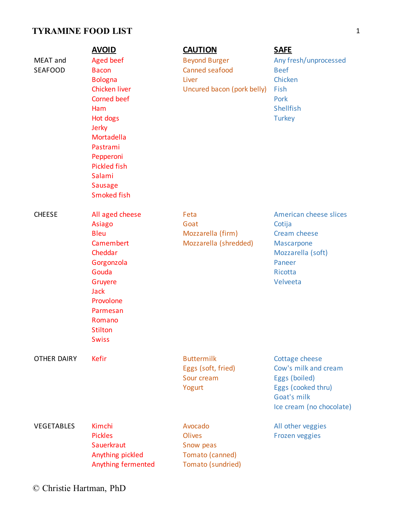# **TYRAMINE FOOD LIST** 1

|                            | <b>AVOID</b>                                                                                                                                                                                                                   | <b>CAUTION</b>                                                                | <b>SAFE</b>                                                                                                              |
|----------------------------|--------------------------------------------------------------------------------------------------------------------------------------------------------------------------------------------------------------------------------|-------------------------------------------------------------------------------|--------------------------------------------------------------------------------------------------------------------------|
| MEAT and<br><b>SEAFOOD</b> | Aged beef<br><b>Bacon</b><br><b>Bologna</b><br>Chicken liver<br><b>Corned beef</b><br>Ham<br>Hot dogs<br>Jerky<br>Mortadella<br>Pastrami<br>Pepperoni<br><b>Pickled fish</b><br>Salami<br><b>Sausage</b><br><b>Smoked fish</b> | <b>Beyond Burger</b><br>Canned seafood<br>Liver<br>Uncured bacon (pork belly) | Any fresh/unprocessed<br><b>Beef</b><br>Chicken<br>Fish<br>Pork<br><b>Shellfish</b><br><b>Turkey</b>                     |
| <b>CHEESE</b>              | All aged cheese<br>Asiago<br><b>Bleu</b><br>Camembert<br>Cheddar<br>Gorgonzola<br>Gouda<br>Gruyere<br><b>Jack</b><br>Provolone<br>Parmesan<br>Romano<br><b>Stilton</b><br><b>Swiss</b>                                         | Feta<br>Goat<br>Mozzarella (firm)<br>Mozzarella (shredded)                    | American cheese slices<br>Cotija<br>Cream cheese<br>Mascarpone<br>Mozzarella (soft)<br>Paneer<br>Ricotta<br>Velveeta     |
| <b>OTHER DAIRY</b>         | Kefir                                                                                                                                                                                                                          | <b>Buttermilk</b><br>Eggs (soft, fried)<br>Sour cream<br>Yogurt               | Cottage cheese<br>Cow's milk and cream<br>Eggs (boiled)<br>Eggs (cooked thru)<br>Goat's milk<br>Ice cream (no chocolate) |
| <b>VEGETABLES</b>          | Kimchi<br><b>Pickles</b><br>Sauerkraut<br>Anything pickled<br>Anything fermented                                                                                                                                               | Avocado<br><b>Olives</b><br>Snow peas<br>Tomato (canned)<br>Tomato (sundried) | All other veggies<br><b>Frozen veggies</b>                                                                               |

© Christie Hartman, PhD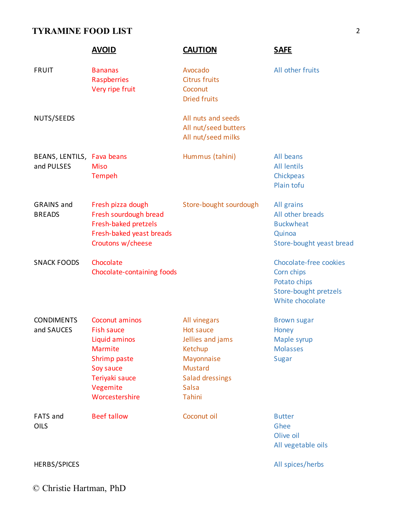## **TYRAMINE FOOD LIST** 2

|                                          | <b>AVOID</b>                                                                                                                          | <b>CAUTION</b>                                                                                                                               | <b>SAFE</b>                                                                                      |
|------------------------------------------|---------------------------------------------------------------------------------------------------------------------------------------|----------------------------------------------------------------------------------------------------------------------------------------------|--------------------------------------------------------------------------------------------------|
| <b>FRUIT</b>                             | <b>Bananas</b><br>Raspberries<br>Very ripe fruit                                                                                      | Avocado<br><b>Citrus fruits</b><br>Coconut<br><b>Dried fruits</b>                                                                            | All other fruits                                                                                 |
| NUTS/SEEDS                               |                                                                                                                                       | All nuts and seeds<br>All nut/seed butters<br>All nut/seed milks                                                                             |                                                                                                  |
| BEANS, LENTILS, Fava beans<br>and PULSES | <b>Miso</b><br>Tempeh                                                                                                                 | Hummus (tahini)                                                                                                                              | All beans<br><b>All lentils</b><br>Chickpeas<br>Plain tofu                                       |
| <b>GRAINS</b> and<br><b>BREADS</b>       | Fresh pizza dough<br>Fresh sourdough bread<br>Fresh-baked pretzels<br>Fresh-baked yeast breads<br>Croutons w/cheese                   | Store-bought sourdough                                                                                                                       | All grains<br>All other breads<br><b>Buckwheat</b><br>Quinoa<br>Store-bought yeast bread         |
| <b>SNACK FOODS</b>                       | Chocolate<br>Chocolate-containing foods                                                                                               |                                                                                                                                              | Chocolate-free cookies<br>Corn chips<br>Potato chips<br>Store-bought pretzels<br>White chocolate |
| <b>CONDIMENTS</b><br>and SAUCES          | Coconut aminos<br>Fish sauce<br>Liquid aminos<br>Marmite<br>Shrimp paste<br>Soy sauce<br>Teriyaki sauce<br>Vegemite<br>Worcestershire | All vinegars<br>Hot sauce<br>Jellies and jams<br>Ketchup<br>Mayonnaise<br><b>Mustard</b><br><b>Salad dressings</b><br><b>Salsa</b><br>Tahini | <b>Brown sugar</b><br>Honey<br>Maple syrup<br><b>Molasses</b><br>Sugar                           |
| FATS and<br>OILS                         | <b>Beef tallow</b>                                                                                                                    | Coconut oil                                                                                                                                  | <b>Butter</b><br>Ghee<br>Olive oil<br>All vegetable oils                                         |
| HERBS/SPICES                             |                                                                                                                                       |                                                                                                                                              | All spices/herbs                                                                                 |

© Christie Hartman, PhD